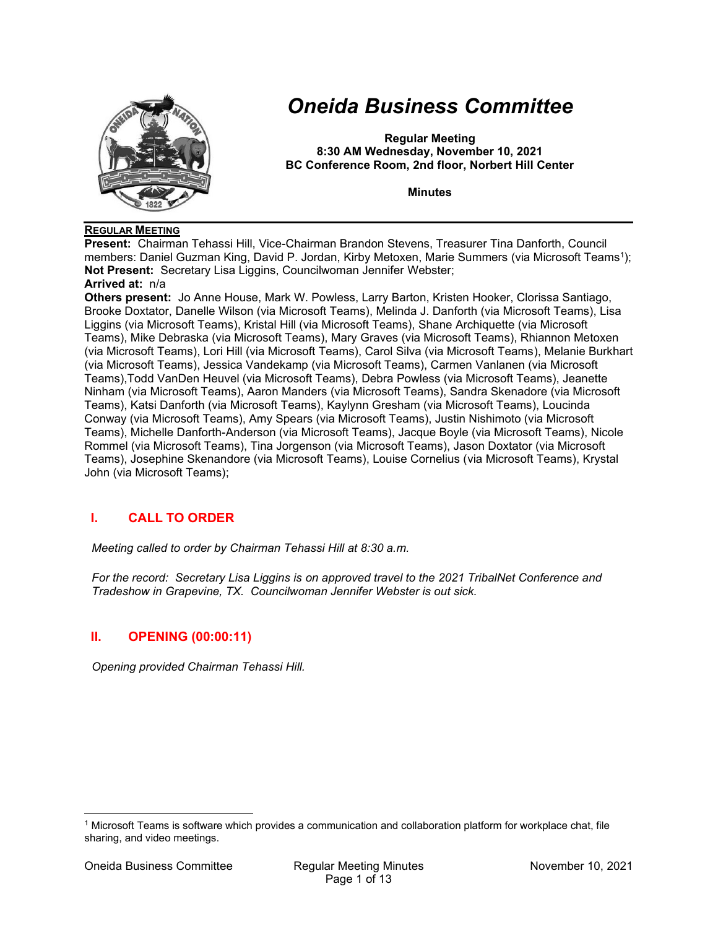

# *Oneida Business Committee*

**Regular Meeting 8:30 AM Wednesday, November 10, 2021 BC Conference Room, 2nd floor, Norbert Hill Center**

**Minutes**

#### **REGULAR MEETING**

**Present:** Chairman Tehassi Hill, Vice-Chairman Brandon Stevens, Treasurer Tina Danforth, Council members: Daniel Guzman King, David P. Jordan, Kirby Metoxen, Marie Summers (via Microsoft Teams<sup>1</sup> ); **Not Present:** Secretary Lisa Liggins, Councilwoman Jennifer Webster;

#### **Arrived at:** n/a

**Others present:** Jo Anne House, Mark W. Powless, Larry Barton, Kristen Hooker, Clorissa Santiago, Brooke Doxtator, Danelle Wilson (via Microsoft Teams), Melinda J. Danforth (via Microsoft Teams), Lisa Liggins (via Microsoft Teams), Kristal Hill (via Microsoft Teams), Shane Archiquette (via Microsoft Teams), Mike Debraska (via Microsoft Teams), Mary Graves (via Microsoft Teams), Rhiannon Metoxen (via Microsoft Teams), Lori Hill (via Microsoft Teams), Carol Silva (via Microsoft Teams), Melanie Burkhart (via Microsoft Teams), Jessica Vandekamp (via Microsoft Teams), Carmen Vanlanen (via Microsoft Teams),Todd VanDen Heuvel (via Microsoft Teams), Debra Powless (via Microsoft Teams), Jeanette Ninham (via Microsoft Teams), Aaron Manders (via Microsoft Teams), Sandra Skenadore (via Microsoft Teams), Katsi Danforth (via Microsoft Teams), Kaylynn Gresham (via Microsoft Teams), Loucinda Conway (via Microsoft Teams), Amy Spears (via Microsoft Teams), Justin Nishimoto (via Microsoft Teams), Michelle Danforth-Anderson (via Microsoft Teams), Jacque Boyle (via Microsoft Teams), Nicole Rommel (via Microsoft Teams), Tina Jorgenson (via Microsoft Teams), Jason Doxtator (via Microsoft Teams), Josephine Skenandore (via Microsoft Teams), Louise Cornelius (via Microsoft Teams), Krystal John (via Microsoft Teams);

# **I. CALL TO ORDER**

*Meeting called to order by Chairman Tehassi Hill at 8:30 a.m.*

*For the record: Secretary Lisa Liggins is on approved travel to the 2021 TribalNet Conference and Tradeshow in Grapevine, TX. Councilwoman Jennifer Webster is out sick.*

# **II. OPENING (00:00:11)**

*Opening provided Chairman Tehassi Hill.*

<sup>1</sup> Microsoft Teams is software which provides a communication and collaboration platform for workplace chat, file sharing, and video meetings.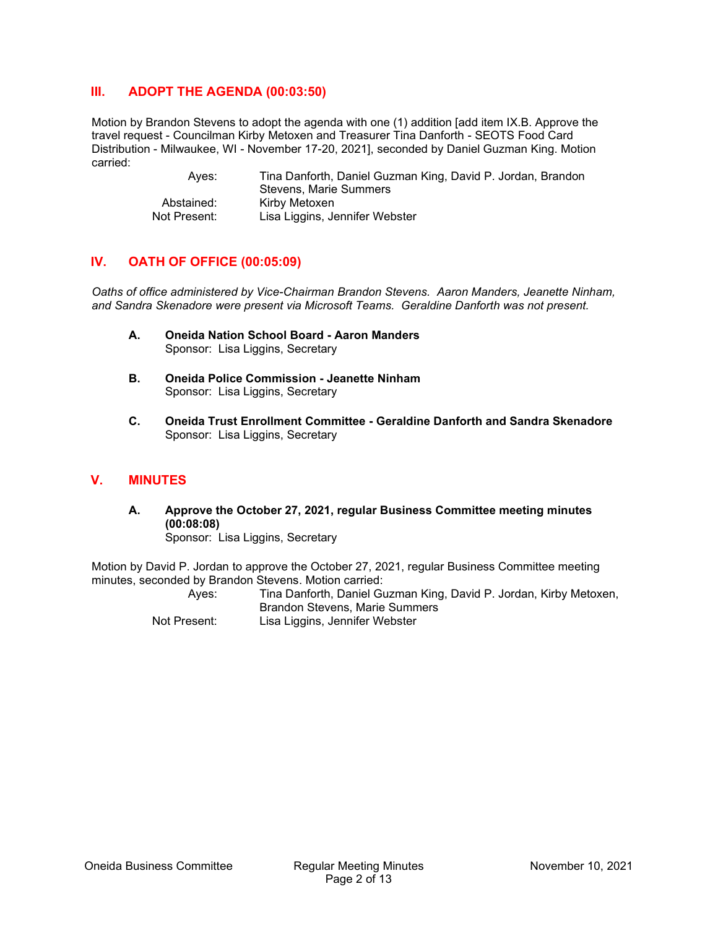# **III. ADOPT THE AGENDA (00:03:50)**

Motion by Brandon Stevens to adopt the agenda with one (1) addition [add item IX.B. Approve the travel request - Councilman Kirby Metoxen and Treasurer Tina Danforth - SEOTS Food Card Distribution - Milwaukee, WI - November 17-20, 2021], seconded by Daniel Guzman King. Motion carried:

| Aves:        | Tina Danforth, Daniel Guzman King, David P. Jordan, Brandon |
|--------------|-------------------------------------------------------------|
|              | Stevens. Marie Summers                                      |
| Abstained:   | Kirby Metoxen                                               |
| Not Present: | Lisa Liggins, Jennifer Webster                              |

# **IV. OATH OF OFFICE (00:05:09)**

*Oaths of office administered by Vice-Chairman Brandon Stevens. Aaron Manders, Jeanette Ninham, and Sandra Skenadore were present via Microsoft Teams. Geraldine Danforth was not present.*

- **A. Oneida Nation School Board - Aaron Manders** Sponsor: Lisa Liggins, Secretary
- **B. Oneida Police Commission - Jeanette Ninham** Sponsor: Lisa Liggins, Secretary
- **C. Oneida Trust Enrollment Committee - Geraldine Danforth and Sandra Skenadore** Sponsor: Lisa Liggins, Secretary

## **V. MINUTES**

**A. Approve the October 27, 2021, regular Business Committee meeting minutes (00:08:08)** Sponsor: Lisa Liggins, Secretary

Motion by David P. Jordan to approve the October 27, 2021, regular Business Committee meeting minutes, seconded by Brandon Stevens. Motion carried: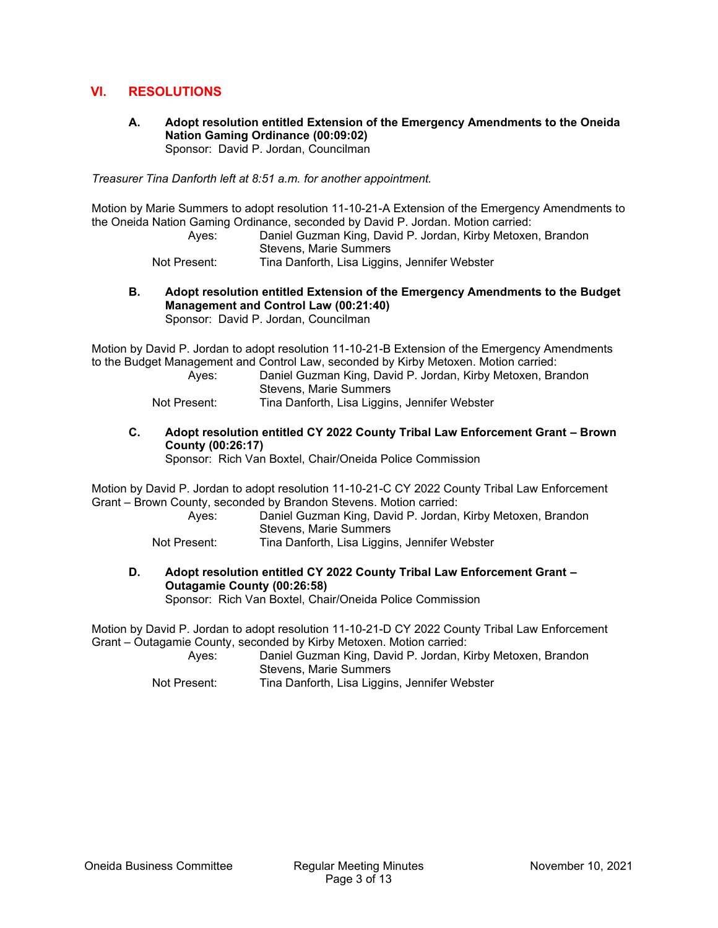# **VI. RESOLUTIONS**

**A. Adopt resolution entitled Extension of the Emergency Amendments to the Oneida Nation Gaming Ordinance (00:09:02)** Sponsor: David P. Jordan, Councilman

*Treasurer Tina Danforth left at 8:51 a.m. for another appointment.*

Motion by Marie Summers to adopt resolution 11-10-21-A Extension of the Emergency Amendments to the Oneida Nation Gaming Ordinance, seconded by David P. Jordan. Motion carried:

| Aves:        | Daniel Guzman King, David P. Jordan, Kirby Metoxen, Brandon |
|--------------|-------------------------------------------------------------|
|              | Stevens, Marie Summers                                      |
| Not Present: | Tina Danforth, Lisa Liggins, Jennifer Webster               |

**B. Adopt resolution entitled Extension of the Emergency Amendments to the Budget Management and Control Law (00:21:40)** Sponsor: David P. Jordan, Councilman

Motion by David P. Jordan to adopt resolution 11-10-21-B Extension of the Emergency Amendments to the Budget Management and Control Law, seconded by Kirby Metoxen. Motion carried:

Ayes: Daniel Guzman King, David P. Jordan, Kirby Metoxen, Brandon Stevens, Marie Summers

Not Present: Tina Danforth, Lisa Liggins, Jennifer Webster

**C. Adopt resolution entitled CY 2022 County Tribal Law Enforcement Grant – Brown County (00:26:17)**

Sponsor: Rich Van Boxtel, Chair/Oneida Police Commission

Motion by David P. Jordan to adopt resolution 11-10-21-C CY 2022 County Tribal Law Enforcement Grant – Brown County, seconded by Brandon Stevens. Motion carried:

Ayes: Daniel Guzman King, David P. Jordan, Kirby Metoxen, Brandon Stevens, Marie Summers

Not Present: Tina Danforth, Lisa Liggins, Jennifer Webster

**D. Adopt resolution entitled CY 2022 County Tribal Law Enforcement Grant – Outagamie County (00:26:58)**

Sponsor: Rich Van Boxtel, Chair/Oneida Police Commission

Motion by David P. Jordan to adopt resolution 11-10-21-D CY 2022 County Tribal Law Enforcement Grant – Outagamie County, seconded by Kirby Metoxen. Motion carried:

Ayes: Daniel Guzman King, David P. Jordan, Kirby Metoxen, Brandon Stevens, Marie Summers Not Present: Tina Danforth, Lisa Liggins, Jennifer Webster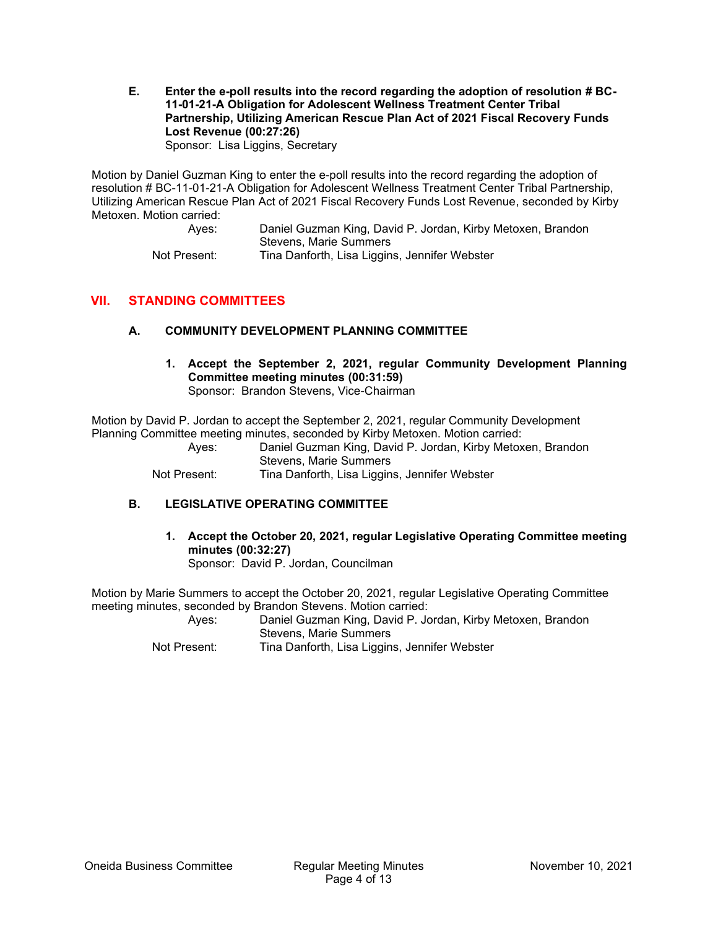**E. Enter the e-poll results into the record regarding the adoption of resolution # BC-11-01-21-A Obligation for Adolescent Wellness Treatment Center Tribal Partnership, Utilizing American Rescue Plan Act of 2021 Fiscal Recovery Funds Lost Revenue (00:27:26)**

Sponsor: Lisa Liggins, Secretary

Motion by Daniel Guzman King to enter the e-poll results into the record regarding the adoption of resolution # BC-11-01-21-A Obligation for Adolescent Wellness Treatment Center Tribal Partnership, Utilizing American Rescue Plan Act of 2021 Fiscal Recovery Funds Lost Revenue, seconded by Kirby Metoxen. Motion carried:

| Aves:        | Daniel Guzman King, David P. Jordan, Kirby Metoxen, Brandon |
|--------------|-------------------------------------------------------------|
|              | Stevens, Marie Summers                                      |
| Not Present: | Tina Danforth, Lisa Liggins, Jennifer Webster               |

# **VII. STANDING COMMITTEES**

#### **A. COMMUNITY DEVELOPMENT PLANNING COMMITTEE**

**1. Accept the September 2, 2021, regular Community Development Planning Committee meeting minutes (00:31:59)** Sponsor: Brandon Stevens, Vice-Chairman

Motion by David P. Jordan to accept the September 2, 2021, regular Community Development Planning Committee meeting minutes, seconded by Kirby Metoxen. Motion carried:

> Ayes: Daniel Guzman King, David P. Jordan, Kirby Metoxen, Brandon Stevens, Marie Summers Not Present: Tina Danforth, Lisa Liggins, Jennifer Webster

## **B. LEGISLATIVE OPERATING COMMITTEE**

**1. Accept the October 20, 2021, regular Legislative Operating Committee meeting minutes (00:32:27)** Sponsor: David P. Jordan, Councilman

Motion by Marie Summers to accept the October 20, 2021, regular Legislative Operating Committee meeting minutes, seconded by Brandon Stevens. Motion carried:

Ayes: Daniel Guzman King, David P. Jordan, Kirby Metoxen, Brandon Stevens, Marie Summers Not Present: Tina Danforth, Lisa Liggins, Jennifer Webster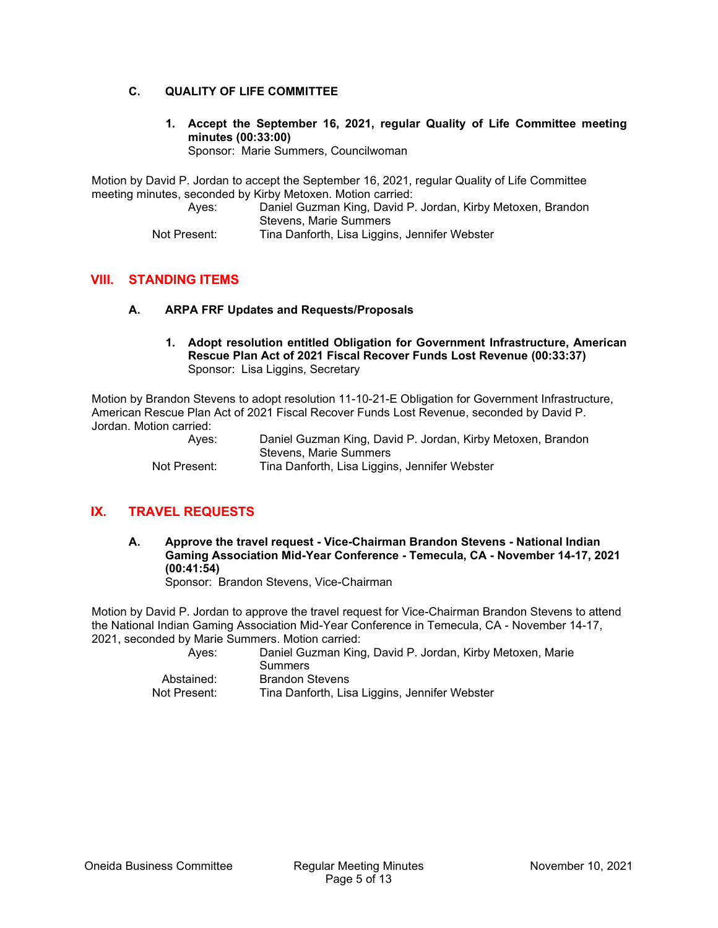## **C. QUALITY OF LIFE COMMITTEE**

**1. Accept the September 16, 2021, regular Quality of Life Committee meeting minutes (00:33:00)**

Sponsor: Marie Summers, Councilwoman

Motion by David P. Jordan to accept the September 16, 2021, regular Quality of Life Committee meeting minutes, seconded by Kirby Metoxen. Motion carried:

Ayes: Daniel Guzman King, David P. Jordan, Kirby Metoxen, Brandon Stevens, Marie Summers

Not Present: Tina Danforth, Lisa Liggins, Jennifer Webster

# **VIII. STANDING ITEMS**

## **A. ARPA FRF Updates and Requests/Proposals**

**1. Adopt resolution entitled Obligation for Government Infrastructure, American Rescue Plan Act of 2021 Fiscal Recover Funds Lost Revenue (00:33:37)** Sponsor: Lisa Liggins, Secretary

Motion by Brandon Stevens to adopt resolution 11-10-21-E Obligation for Government Infrastructure, American Rescue Plan Act of 2021 Fiscal Recover Funds Lost Revenue, seconded by David P. Jordan. Motion carried:

| Ayes:          | Daniel Guzman King, David P. Jordan, Kirby Metoxen, Brandon |
|----------------|-------------------------------------------------------------|
|                | Stevens. Marie Summers                                      |
| Not Present: . | Tina Danforth, Lisa Liggins, Jennifer Webster               |

# **IX. TRAVEL REQUESTS**

**A. Approve the travel request - Vice-Chairman Brandon Stevens - National Indian Gaming Association Mid-Year Conference - Temecula, CA - November 14-17, 2021 (00:41:54)**

Sponsor: Brandon Stevens, Vice-Chairman

Motion by David P. Jordan to approve the travel request for Vice-Chairman Brandon Stevens to attend the National Indian Gaming Association Mid-Year Conference in Temecula, CA - November 14-17, 2021, seconded by Marie Summers. Motion carried:

| Aves:        | Daniel Guzman King, David P. Jordan, Kirby Metoxen, Marie |
|--------------|-----------------------------------------------------------|
|              | Summers                                                   |
| Abstained:   | <b>Brandon Stevens</b>                                    |
| Not Present: | Tina Danforth, Lisa Liggins, Jennifer Webster             |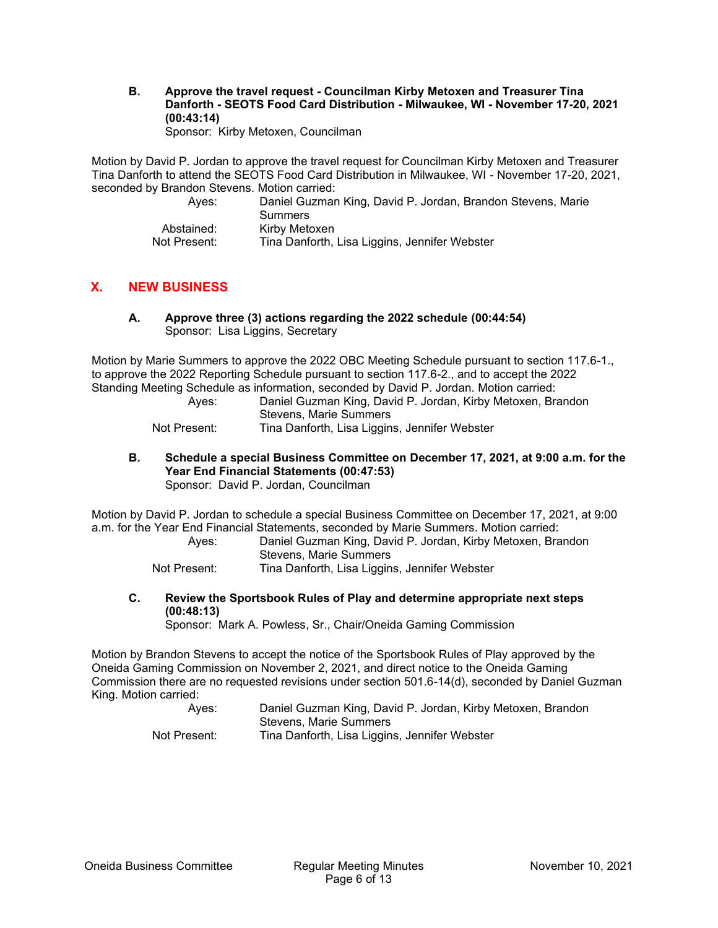#### **B. Approve the travel request - Councilman Kirby Metoxen and Treasurer Tina Danforth - SEOTS Food Card Distribution - Milwaukee, WI - November 17-20, 2021 (00:43:14)** Sponsor: Kirby Metoxen, Councilman

Motion by David P. Jordan to approve the travel request for Councilman Kirby Metoxen and Treasurer Tina Danforth to attend the SEOTS Food Card Distribution in Milwaukee, WI - November 17-20, 2021, seconded by Brandon Stevens. Motion carried:

| Aves:        | Daniel Guzman King, David P. Jordan, Brandon Stevens, Marie<br>Summers |
|--------------|------------------------------------------------------------------------|
| Abstained:   | Kirby Metoxen                                                          |
| Not Present: | Tina Danforth, Lisa Liggins, Jennifer Webster                          |

# **X. NEW BUSINESS**

**A. Approve three (3) actions regarding the 2022 schedule (00:44:54)** Sponsor: Lisa Liggins, Secretary

Motion by Marie Summers to approve the 2022 OBC Meeting Schedule pursuant to section 117.6-1., to approve the 2022 Reporting Schedule pursuant to section 117.6-2., and to accept the 2022 Standing Meeting Schedule as information, seconded by David P. Jordan. Motion carried:

| Ayes:        | Daniel Guzman King, David P. Jordan, Kirby Metoxen, Brandon |
|--------------|-------------------------------------------------------------|
|              | Stevens, Marie Summers                                      |
| Not Present: | Tina Danforth, Lisa Liggins, Jennifer Webster               |

**B. Schedule a special Business Committee on December 17, 2021, at 9:00 a.m. for the Year End Financial Statements (00:47:53)** Sponsor: David P. Jordan, Councilman

Motion by David P. Jordan to schedule a special Business Committee on December 17, 2021, at 9:00 a.m. for the Year End Financial Statements, seconded by Marie Summers. Motion carried:

| Aves:        | Daniel Guzman King, David P. Jordan, Kirby Metoxen, Brandon |
|--------------|-------------------------------------------------------------|
|              | Stevens, Marie Summers                                      |
| Not Present: | Tina Danforth, Lisa Liggins, Jennifer Webster               |

**C. Review the Sportsbook Rules of Play and determine appropriate next steps (00:48:13)**

Sponsor: Mark A. Powless, Sr., Chair/Oneida Gaming Commission

Motion by Brandon Stevens to accept the notice of the Sportsbook Rules of Play approved by the Oneida Gaming Commission on November 2, 2021, and direct notice to the Oneida Gaming Commission there are no requested revisions under section 501.6-14(d), seconded by Daniel Guzman King. Motion carried:

| Aves:        | Daniel Guzman King, David P. Jordan, Kirby Metoxen, Brandon |
|--------------|-------------------------------------------------------------|
|              | Stevens, Marie Summers                                      |
| Not Present: | Tina Danforth, Lisa Liggins, Jennifer Webster               |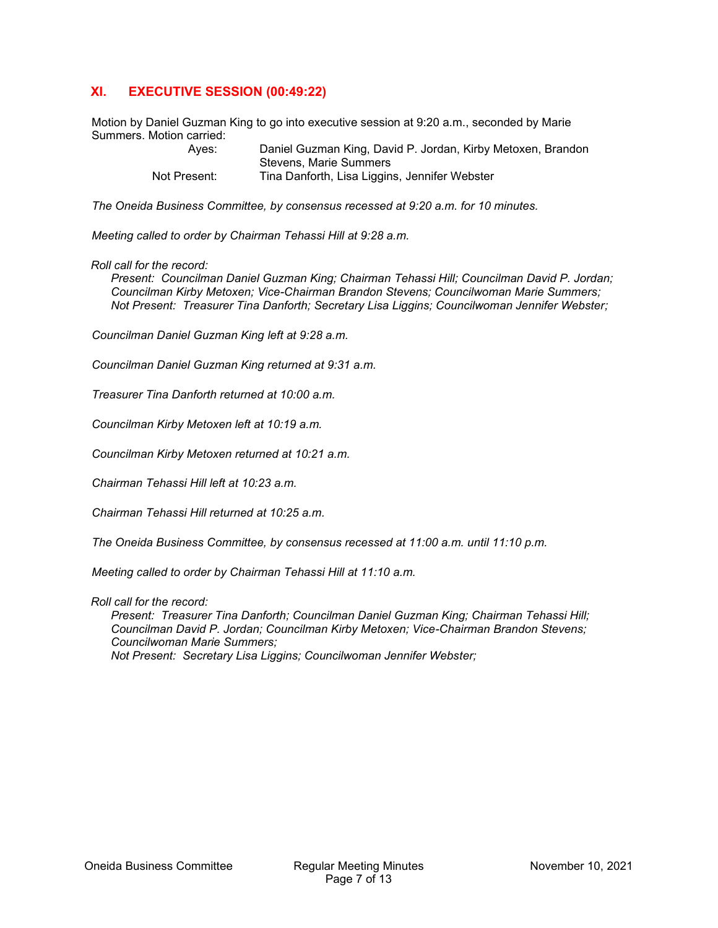# **XI. EXECUTIVE SESSION (00:49:22)**

Motion by Daniel Guzman King to go into executive session at 9:20 a.m., seconded by Marie Summers. Motion carried:

Ayes: Daniel Guzman King, David P. Jordan, Kirby Metoxen, Brandon Stevens, Marie Summers Not Present: Tina Danforth, Lisa Liggins, Jennifer Webster

*The Oneida Business Committee, by consensus recessed at 9:20 a.m. for 10 minutes.*

*Meeting called to order by Chairman Tehassi Hill at 9:28 a.m.*

*Roll call for the record:*

*Present: Councilman Daniel Guzman King; Chairman Tehassi Hill; Councilman David P. Jordan; Councilman Kirby Metoxen; Vice-Chairman Brandon Stevens; Councilwoman Marie Summers; Not Present: Treasurer Tina Danforth; Secretary Lisa Liggins; Councilwoman Jennifer Webster;*

*Councilman Daniel Guzman King left at 9:28 a.m.*

*Councilman Daniel Guzman King returned at 9:31 a.m.*

*Treasurer Tina Danforth returned at 10:00 a.m.*

*Councilman Kirby Metoxen left at 10:19 a.m.*

*Councilman Kirby Metoxen returned at 10:21 a.m.*

*Chairman Tehassi Hill left at 10:23 a.m.*

*Chairman Tehassi Hill returned at 10:25 a.m.*

*The Oneida Business Committee, by consensus recessed at 11:00 a.m. until 11:10 p.m.*

*Meeting called to order by Chairman Tehassi Hill at 11:10 a.m.*

*Roll call for the record:*

*Present: Treasurer Tina Danforth; Councilman Daniel Guzman King; Chairman Tehassi Hill; Councilman David P. Jordan; Councilman Kirby Metoxen; Vice-Chairman Brandon Stevens; Councilwoman Marie Summers; Not Present: Secretary Lisa Liggins; Councilwoman Jennifer Webster;*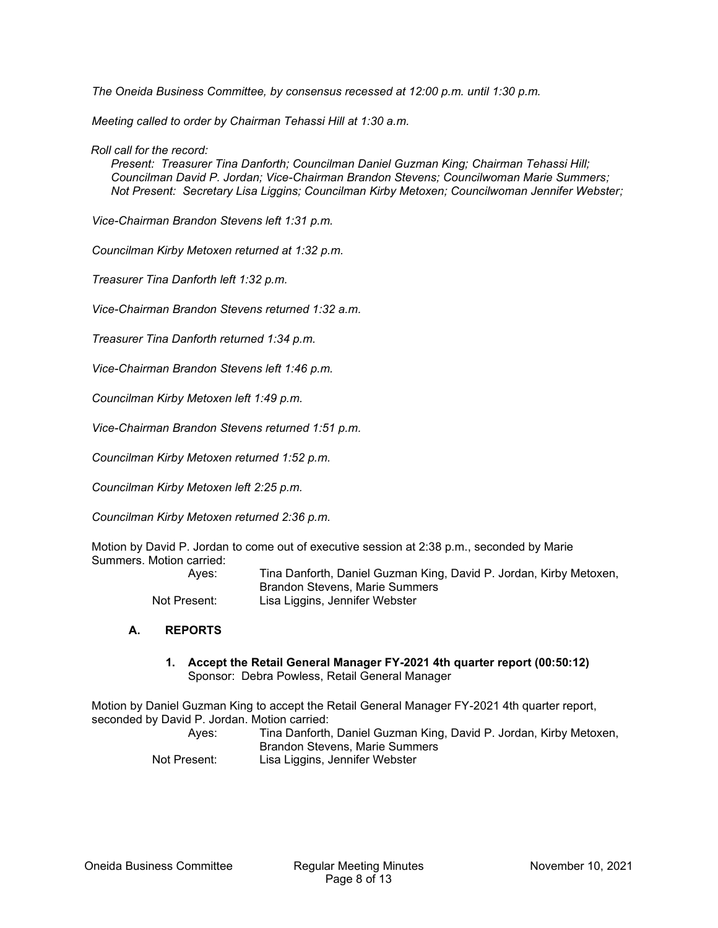*The Oneida Business Committee, by consensus recessed at 12:00 p.m. until 1:30 p.m.*

*Meeting called to order by Chairman Tehassi Hill at 1:30 a.m.*

*Roll call for the record:*

*Present: Treasurer Tina Danforth; Councilman Daniel Guzman King; Chairman Tehassi Hill; Councilman David P. Jordan; Vice-Chairman Brandon Stevens; Councilwoman Marie Summers; Not Present: Secretary Lisa Liggins; Councilman Kirby Metoxen; Councilwoman Jennifer Webster;*

*Vice-Chairman Brandon Stevens left 1:31 p.m.*

*Councilman Kirby Metoxen returned at 1:32 p.m.*

*Treasurer Tina Danforth left 1:32 p.m.*

*Vice-Chairman Brandon Stevens returned 1:32 a.m.*

*Treasurer Tina Danforth returned 1:34 p.m.*

*Vice-Chairman Brandon Stevens left 1:46 p.m.*

*Councilman Kirby Metoxen left 1:49 p.m.*

*Vice-Chairman Brandon Stevens returned 1:51 p.m.*

*Councilman Kirby Metoxen returned 1:52 p.m.*

*Councilman Kirby Metoxen left 2:25 p.m.*

*Councilman Kirby Metoxen returned 2:36 p.m.*

Motion by David P. Jordan to come out of executive session at 2:38 p.m., seconded by Marie Summers. Motion carried:

| Ayes:        | Tina Danforth, Daniel Guzman King, David P. Jordan, Kirby Metoxen, |
|--------------|--------------------------------------------------------------------|
|              | Brandon Stevens, Marie Summers                                     |
| Not Present: | Lisa Liggins, Jennifer Webster                                     |

#### **A. REPORTS**

**1. Accept the Retail General Manager FY-2021 4th quarter report (00:50:12)** Sponsor: Debra Powless, Retail General Manager

Motion by Daniel Guzman King to accept the Retail General Manager FY-2021 4th quarter report, seconded by David P. Jordan. Motion carried: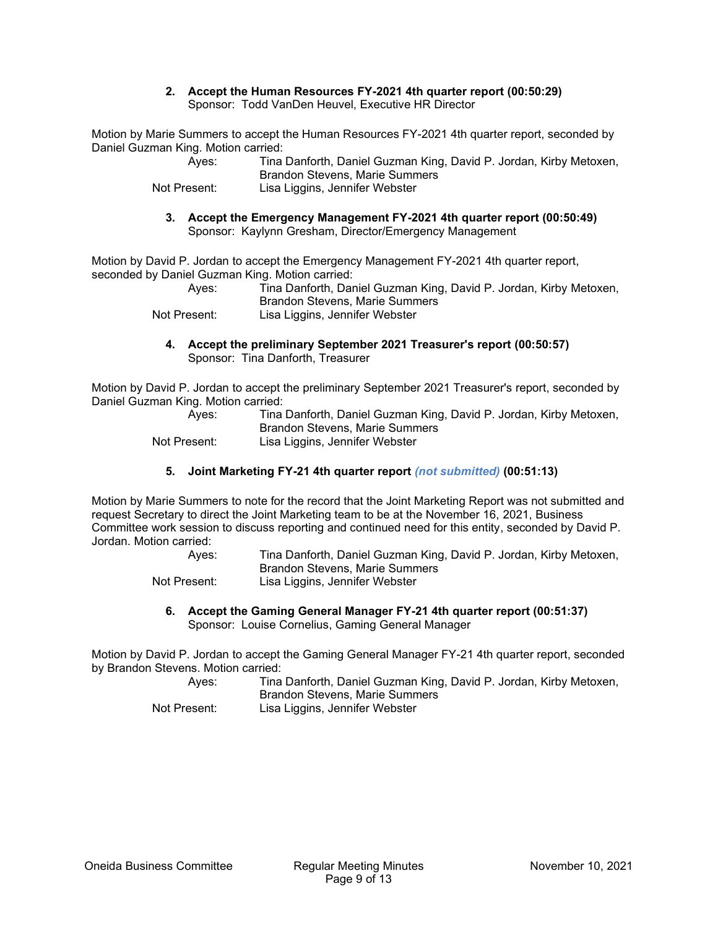#### **2. Accept the Human Resources FY-2021 4th quarter report (00:50:29)** Sponsor: Todd VanDen Heuvel, Executive HR Director

Motion by Marie Summers to accept the Human Resources FY-2021 4th quarter report, seconded by Daniel Guzman King. Motion carried:

| Aves:        | Tina Danforth, Daniel Guzman King, David P. Jordan, Kirby Metoxen, |
|--------------|--------------------------------------------------------------------|
|              | Brandon Stevens, Marie Summers                                     |
| Not Present: | Lisa Liggins, Jennifer Webster                                     |

**3. Accept the Emergency Management FY-2021 4th quarter report (00:50:49)** Sponsor: Kaylynn Gresham, Director/Emergency Management

Motion by David P. Jordan to accept the Emergency Management FY-2021 4th quarter report, seconded by Daniel Guzman King. Motion carried:

| Ayes:        | Tina Danforth, Daniel Guzman King, David P. Jordan, Kirby Metoxen, |
|--------------|--------------------------------------------------------------------|
|              | <b>Brandon Stevens, Marie Summers</b>                              |
| Not Present: | Lisa Liggins, Jennifer Webster                                     |

**4. Accept the preliminary September 2021 Treasurer's report (00:50:57)** Sponsor: Tina Danforth, Treasurer

Motion by David P. Jordan to accept the preliminary September 2021 Treasurer's report, seconded by Daniel Guzman King. Motion carried:

| Aves:        | Tina Danforth, Daniel Guzman King, David P. Jordan, Kirby Metoxen, |
|--------------|--------------------------------------------------------------------|
|              | Brandon Stevens, Marie Summers                                     |
| Not Present: | Lisa Liggins, Jennifer Webster                                     |

## **5. Joint Marketing FY-21 4th quarter report** *(not submitted)* **(00:51:13)**

Motion by Marie Summers to note for the record that the Joint Marketing Report was not submitted and request Secretary to direct the Joint Marketing team to be at the November 16, 2021, Business Committee work session to discuss reporting and continued need for this entity, seconded by David P. Jordan. Motion carried:

Ayes: Tina Danforth, Daniel Guzman King, David P. Jordan, Kirby Metoxen, Brandon Stevens, Marie Summers Not Present: Lisa Liggins, Jennifer Webster

**6. Accept the Gaming General Manager FY-21 4th quarter report (00:51:37)** Sponsor: Louise Cornelius, Gaming General Manager

Motion by David P. Jordan to accept the Gaming General Manager FY-21 4th quarter report, seconded by Brandon Stevens. Motion carried:

| Ayes:        | Tina Danforth, Daniel Guzman King, David P. Jordan, Kirby Metoxen, |
|--------------|--------------------------------------------------------------------|
|              | <b>Brandon Stevens, Marie Summers</b>                              |
| Not Present: | Lisa Liggins, Jennifer Webster                                     |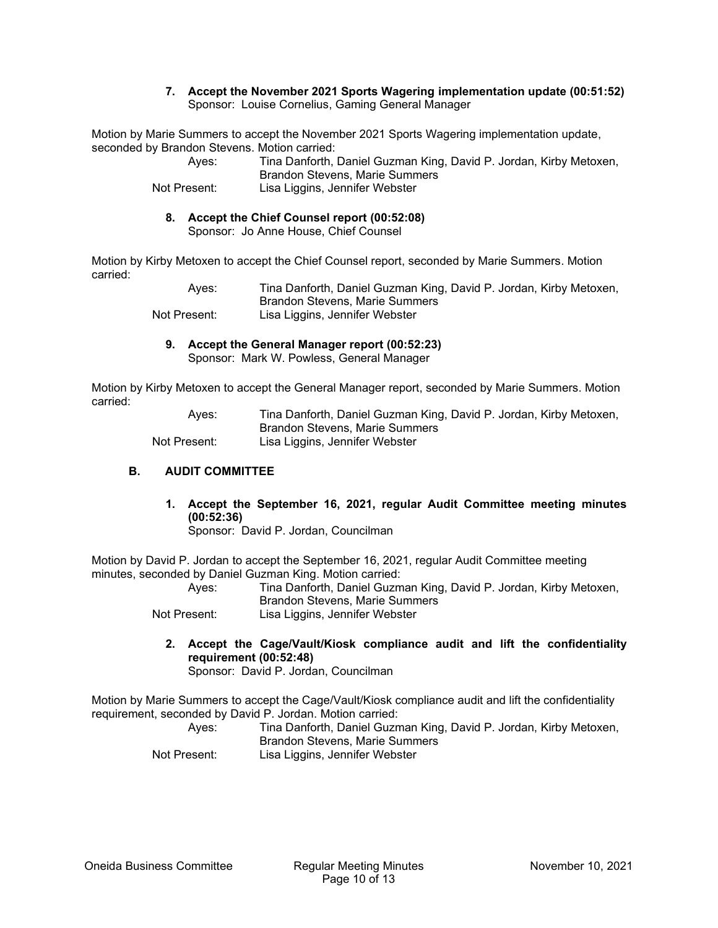#### **7. Accept the November 2021 Sports Wagering implementation update (00:51:52)** Sponsor: Louise Cornelius, Gaming General Manager

Motion by Marie Summers to accept the November 2021 Sports Wagering implementation update, seconded by Brandon Stevens. Motion carried:

| Aves:        | Tina Danforth, Daniel Guzman King, David P. Jordan, Kirby Metoxen, |
|--------------|--------------------------------------------------------------------|
|              | Brandon Stevens, Marie Summers                                     |
| Not Present: | Lisa Liggins, Jennifer Webster                                     |

## **8. Accept the Chief Counsel report (00:52:08)**

Sponsor: Jo Anne House, Chief Counsel

Motion by Kirby Metoxen to accept the Chief Counsel report, seconded by Marie Summers. Motion carried:

Ayes: Tina Danforth, Daniel Guzman King, David P. Jordan, Kirby Metoxen, Brandon Stevens, Marie Summers Not Present: Lisa Liggins, Jennifer Webster

# **9. Accept the General Manager report (00:52:23)**

Sponsor: Mark W. Powless, General Manager

Motion by Kirby Metoxen to accept the General Manager report, seconded by Marie Summers. Motion carried:

| Aves:        | Tina Danforth, Daniel Guzman King, David P. Jordan, Kirby Metoxen, |
|--------------|--------------------------------------------------------------------|
|              | Brandon Stevens, Marie Summers                                     |
| Not Present: | Lisa Liggins, Jennifer Webster                                     |

## **B. AUDIT COMMITTEE**

**1. Accept the September 16, 2021, regular Audit Committee meeting minutes (00:52:36)**

Sponsor: David P. Jordan, Councilman

Motion by David P. Jordan to accept the September 16, 2021, regular Audit Committee meeting minutes, seconded by Daniel Guzman King. Motion carried:

Ayes: Tina Danforth, Daniel Guzman King, David P. Jordan, Kirby Metoxen, Brandon Stevens, Marie Summers

Not Present: Lisa Liggins, Jennifer Webster

**2. Accept the Cage/Vault/Kiosk compliance audit and lift the confidentiality requirement (00:52:48)**

Sponsor: David P. Jordan, Councilman

Motion by Marie Summers to accept the Cage/Vault/Kiosk compliance audit and lift the confidentiality requirement, seconded by David P. Jordan. Motion carried: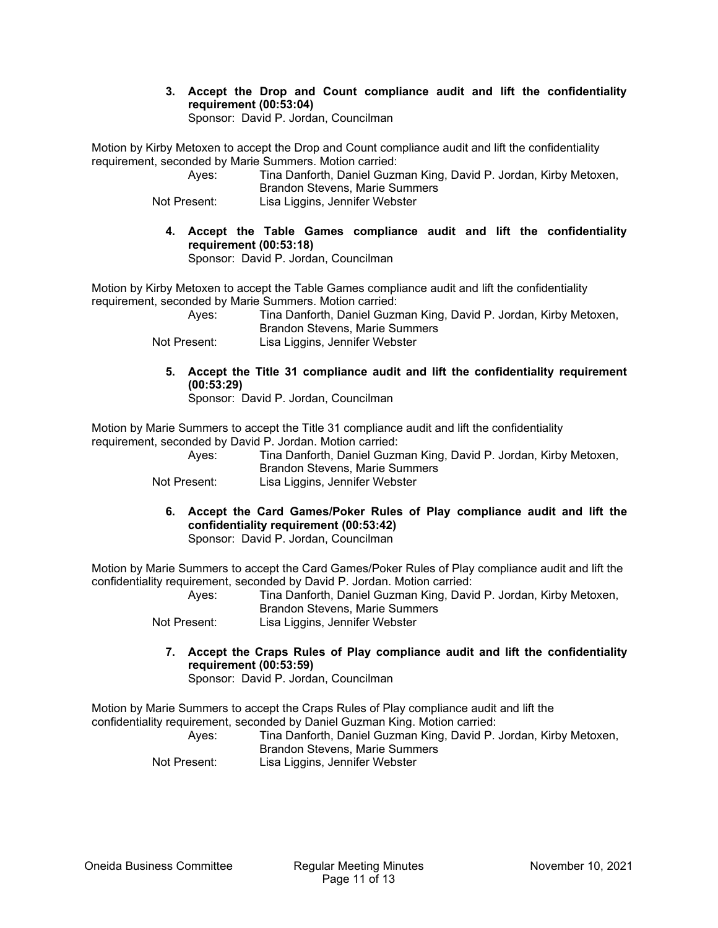**3. Accept the Drop and Count compliance audit and lift the confidentiality requirement (00:53:04)**

Sponsor: David P. Jordan, Councilman

Motion by Kirby Metoxen to accept the Drop and Count compliance audit and lift the confidentiality requirement, seconded by Marie Summers. Motion carried:

| Aves:        | Tina Danforth, Daniel Guzman King, David P. Jordan, Kirby Metoxen, |
|--------------|--------------------------------------------------------------------|
|              | Brandon Stevens, Marie Summers                                     |
| Not Present: | Lisa Liggins, Jennifer Webster                                     |

**4. Accept the Table Games compliance audit and lift the confidentiality requirement (00:53:18)** Sponsor: David P. Jordan, Councilman

Motion by Kirby Metoxen to accept the Table Games compliance audit and lift the confidentiality requirement, seconded by Marie Summers. Motion carried:

> Ayes: Tina Danforth, Daniel Guzman King, David P. Jordan, Kirby Metoxen, Brandon Stevens, Marie Summers

Not Present: Lisa Liggins, Jennifer Webster

**5. Accept the Title 31 compliance audit and lift the confidentiality requirement (00:53:29)**

Sponsor: David P. Jordan, Councilman

Motion by Marie Summers to accept the Title 31 compliance audit and lift the confidentiality requirement, seconded by David P. Jordan. Motion carried:

> Ayes: Tina Danforth, Daniel Guzman King, David P. Jordan, Kirby Metoxen, Brandon Stevens, Marie Summers

- Not Present: Lisa Liggins, Jennifer Webster
	- **6. Accept the Card Games/Poker Rules of Play compliance audit and lift the confidentiality requirement (00:53:42)**

Sponsor: David P. Jordan, Councilman

Motion by Marie Summers to accept the Card Games/Poker Rules of Play compliance audit and lift the confidentiality requirement, seconded by David P. Jordan. Motion carried:

| Aves:        | Tina Danforth, Daniel Guzman King, David P. Jordan, Kirby Metoxen, |
|--------------|--------------------------------------------------------------------|
|              | Brandon Stevens, Marie Summers                                     |
| Not Present: | Lisa Liggins, Jennifer Webster                                     |

**7. Accept the Craps Rules of Play compliance audit and lift the confidentiality requirement (00:53:59)**

Sponsor: David P. Jordan, Councilman

Motion by Marie Summers to accept the Craps Rules of Play compliance audit and lift the confidentiality requirement, seconded by Daniel Guzman King. Motion carried: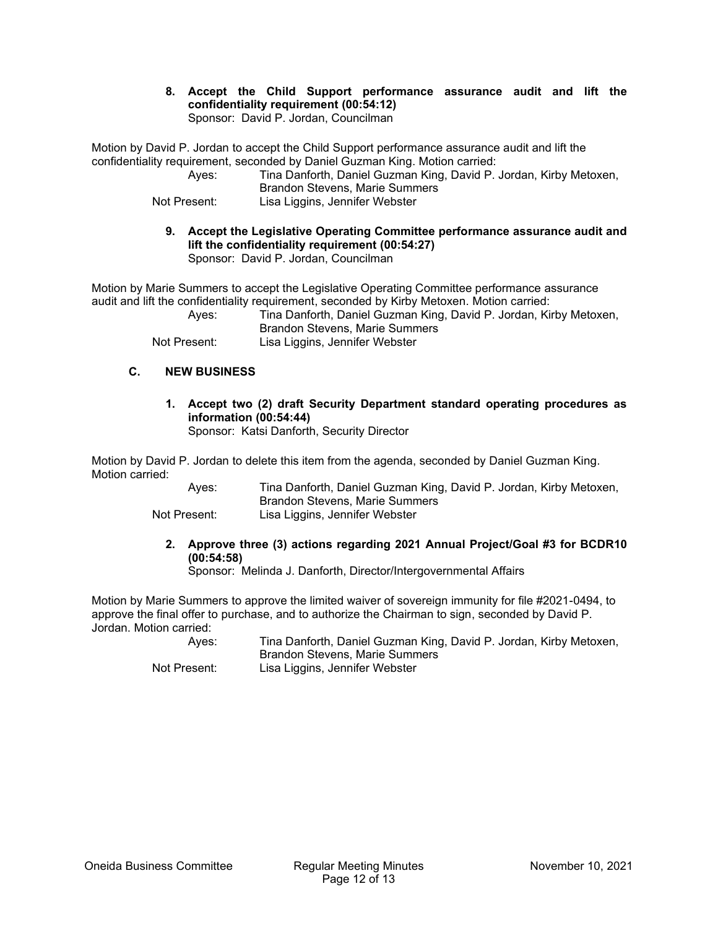**8. Accept the Child Support performance assurance audit and lift the confidentiality requirement (00:54:12)** Sponsor: David P. Jordan, Councilman

Motion by David P. Jordan to accept the Child Support performance assurance audit and lift the confidentiality requirement, seconded by Daniel Guzman King. Motion carried:

Ayes: Tina Danforth, Daniel Guzman King, David P. Jordan, Kirby Metoxen, Brandon Stevens, Marie Summers Not Present: Lisa Liggins, Jennifer Webster

**9. Accept the Legislative Operating Committee performance assurance audit and lift the confidentiality requirement (00:54:27)** Sponsor: David P. Jordan, Councilman

Motion by Marie Summers to accept the Legislative Operating Committee performance assurance audit and lift the confidentiality requirement, seconded by Kirby Metoxen. Motion carried:

Ayes: Tina Danforth, Daniel Guzman King, David P. Jordan, Kirby Metoxen, Brandon Stevens, Marie Summers

Not Present: Lisa Liggins, Jennifer Webster

## **C. NEW BUSINESS**

**1. Accept two (2) draft Security Department standard operating procedures as information (00:54:44)**

Sponsor: Katsi Danforth, Security Director

Motion by David P. Jordan to delete this item from the agenda, seconded by Daniel Guzman King. Motion carried:

| Aves:        | Tina Danforth, Daniel Guzman King, David P. Jordan, Kirby Metoxen, |
|--------------|--------------------------------------------------------------------|
|              | Brandon Stevens, Marie Summers                                     |
| Not Present: | Lisa Liggins, Jennifer Webster                                     |

**2. Approve three (3) actions regarding 2021 Annual Project/Goal #3 for BCDR10 (00:54:58)**

Sponsor: Melinda J. Danforth, Director/Intergovernmental Affairs

Motion by Marie Summers to approve the limited waiver of sovereign immunity for file #2021-0494, to approve the final offer to purchase, and to authorize the Chairman to sign, seconded by David P. Jordan. Motion carried:

| Aves:        | Tina Danforth, Daniel Guzman King, David P. Jordan, Kirby Metoxen, |
|--------------|--------------------------------------------------------------------|
|              | Brandon Stevens, Marie Summers                                     |
| Not Present: | Lisa Liggins, Jennifer Webster                                     |